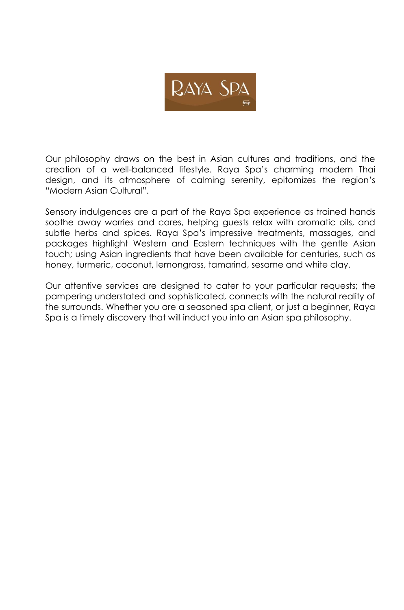

Our philosophy draws on the best in Asian cultures and traditions, and the creation of a well-balanced lifestyle. Raya Spa's charming modern Thai design, and its atmosphere of calming serenity, epitomizes the region's "Modern Asian Cultural".

Sensory indulgences are a part of the Raya Spa experience as trained hands soothe away worries and cares, helping guests relax with aromatic oils, and subtle herbs and spices. Raya Spa's impressive treatments, massages, and packages highlight Western and Eastern techniques with the gentle Asian touch; using Asian ingredients that have been available for centuries, such as honey, turmeric, coconut, lemongrass, tamarind, sesame and white clay.

Our attentive services are designed to cater to your particular requests; the pampering understated and sophisticated, connects with the natural reality of the surrounds. Whether you are a seasoned spa client, or just a beginner, Raya Spa is a timely discovery that will induct you into an Asian spa philosophy.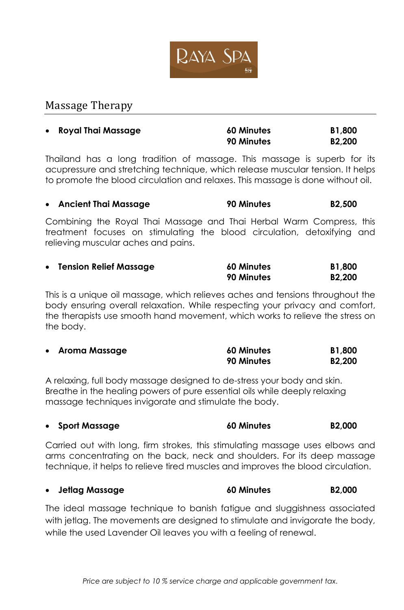

## Massage Therapy

| • Royal Thai Massage | <b>60 Minutes</b> | <b>B1,800</b>       |
|----------------------|-------------------|---------------------|
|                      | 90 Minutes        | B <sub>2</sub> ,200 |

Thailand has a long tradition of massage. This massage is superb for its acupressure and stretching technique, which release muscular tension. It helps to promote the blood circulation and relaxes. This massage is done without oil.

|  | <b>Ancient Thai Massage</b> | 90 Minutes | <b>B2,500</b> |
|--|-----------------------------|------------|---------------|
|--|-----------------------------|------------|---------------|

Combining the Royal Thai Massage and Thai Herbal Warm Compress, this treatment focuses on stimulating the blood circulation, detoxifying and relieving muscular aches and pains.

| • Tension Relief Massage | <b>60 Minutes</b> | <b>B1,800</b>       |
|--------------------------|-------------------|---------------------|
|                          | 90 Minutes        | B <sub>2</sub> ,200 |

This is a unique oil massage, which relieves aches and tensions throughout the body ensuring overall relaxation. While respecting your privacy and comfort, the therapists use smooth hand movement, which works to relieve the stress on the body.

| • Aroma Massage | <b>60 Minutes</b> | <b>B1,800</b> |
|-----------------|-------------------|---------------|
|                 | 90 Minutes        | <b>B2,200</b> |

A relaxing, full body massage designed to de-stress your body and skin. Breathe in the healing powers of pure essential oils while deeply relaxing massage techniques invigorate and stimulate the body.

|  | • Sport Massage | <b>60 Minutes</b> | B <sub>2</sub> ,000 |
|--|-----------------|-------------------|---------------------|
|--|-----------------|-------------------|---------------------|

Carried out with long, firm strokes, this stimulating massage uses elbows and arms concentrating on the back, neck and shoulders. For its deep massage technique, it helps to relieve tired muscles and improves the blood circulation.

**Jetlag Massage 60 Minutes B2,000**

The ideal massage technique to banish fatigue and sluggishness associated with jetlag. The movements are designed to stimulate and invigorate the body, while the used Lavender Oil leaves you with a feeling of renewal.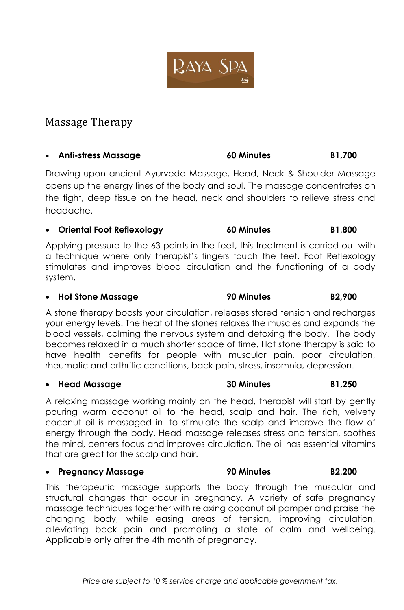

# Massage Therapy

## **Anti-stress Massage 60 Minutes B1,700**

Drawing upon ancient Ayurveda Massage, Head, Neck & Shoulder Massage opens up the energy lines of the body and soul. The massage concentrates on the tight, deep tissue on the head, neck and shoulders to relieve stress and headache.

### **Oriental Foot Reflexology 60 Minutes B1,800**

Applying pressure to the 63 points in the feet, this treatment is carried out with a technique where only therapist's fingers touch the feet. Foot Reflexology stimulates and improves blood circulation and the functioning of a body system.

### **Hot Stone Massage 90 Minutes B2,900**

A stone therapy boosts your circulation, releases stored tension and recharges your energy levels. The heat of the stones relaxes the muscles and expands the blood vessels, calming the nervous system and detoxing the body. The body becomes relaxed in a much shorter space of time. Hot stone therapy is said to have health benefits for people with muscular pain, poor circulation, rheumatic and arthritic conditions, back pain, stress, insomnia, depression.

#### **Head Massage 30 Minutes B1,250**

A relaxing massage working mainly on the head, therapist will start by gently pouring warm coconut oil to the head, scalp and hair. The rich, velvety coconut oil is massaged in to stimulate the scalp and improve the flow of energy through the body. Head massage releases stress and tension, soothes the mind, centers focus and improves circulation. The oil has essential vitamins that are great for the scalp and hair.

#### **Pregnancy Massage 90 Minutes B2,200**

This therapeutic massage supports the body through the muscular and structural changes that occur in pregnancy. A variety of safe pregnancy massage techniques together with relaxing coconut oil pamper and praise the changing body, while easing areas of tension, improving circulation, alleviating back pain and promoting a state of calm and wellbeing. Applicable only after the 4th month of pregnancy.

RAYA SPA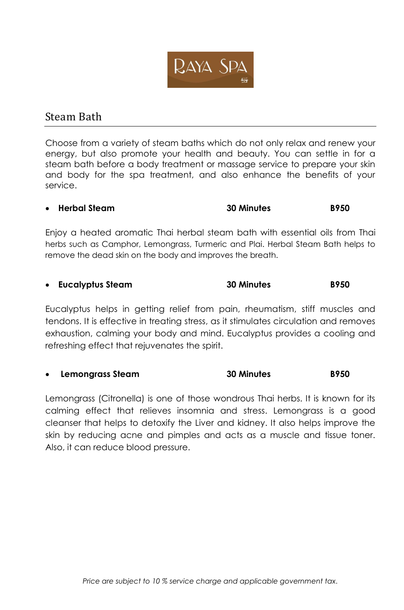

## Steam Bath

Choose from a variety of steam baths which do not only relax and renew your energy, but also promote your health and beauty. You can settle in for a steam bath before a body treatment or massage service to prepare your skin and body for the spa treatment, and also enhance the benefits of your service.

## **Herbal Steam 30 Minutes B950**

Enjoy a heated aromatic Thai herbal steam bath with essential oils from Thai herbs such as Camphor, Lemongrass, Turmeric and Plai. Herbal Steam Bath helps to remove the dead skin on the body and improves the breath.

### **Eucalyptus Steam 30 Minutes B950**

[Eucalyptus](http://www.organicfacts.net/organic-oils/natural-essential-oils/health-benefits-of-eucalyptus-essential-oil.html) helps in getting relief from pain, rheumatism, stiff muscles and tendons. It is effective in treating stress, as it stimulates circulation and removes exhaustion, calming your body and mind. Eucalyptus provides a cooling and refreshing effect that rejuvenates the spirit.

### **Lemongrass Steam 30 Minutes B950**

Lemongrass (Citronella) is one of those wondrous Thai herbs. It is known for its calming effect that relieves insomnia and stress. Lemongrass is a good cleanser that helps to detoxify the Liver and kidney. It also helps improve the skin by reducing acne and pimples and acts as a muscle and tissue toner. Also, it can reduce blood pressure.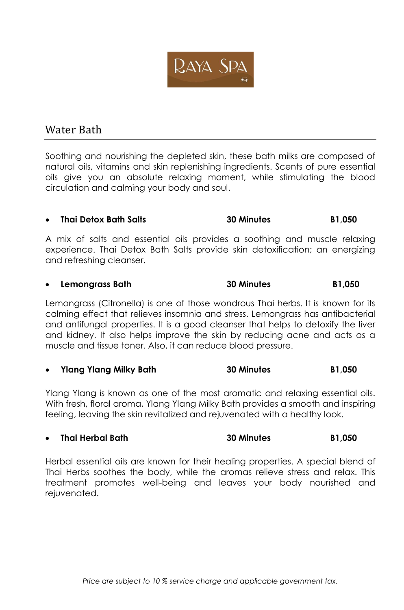

# Water Bath

Soothing and nourishing the depleted skin, these bath milks are composed of natural oils, vitamins and skin replenishing ingredients. Scents of pure essential oils give you an absolute relaxing moment, while stimulating the blood circulation and calming your body and soul.

## **Thai Detox Bath Salts 30 Minutes B1,050**

A mix of salts and essential oils provides a soothing and muscle relaxing experience. Thai Detox Bath Salts provide skin detoxification; an energizing and refreshing cleanser.

#### **Lemongrass Bath 30 Minutes B1,050**

Lemongrass (Citronella) is one of those wondrous Thai herbs. It is known for its calming effect that relieves insomnia and stress. Lemongrass has antibacterial and antifungal properties. It is a good cleanser that helps to detoxify the liver and kidney. It also helps improve the skin by reducing acne and acts as a muscle and tissue toner. Also, it can reduce blood pressure.

#### **Ylang Ylang Milky Bath 30 Minutes B1,050**

Ylang Ylang is known as one of the most aromatic and relaxing essential oils. With fresh, floral aroma, Ylang Ylang Milky Bath provides a smooth and inspiring feeling, leaving the skin revitalized and rejuvenated with a healthy look.

### **Thai Herbal Bath 30 Minutes B1,050**

Herbal essential oils are known for their healing properties. A special blend of Thai Herbs soothes the body, while the aromas relieve stress and relax. This treatment promotes well-being and leaves your body nourished and rejuvenated.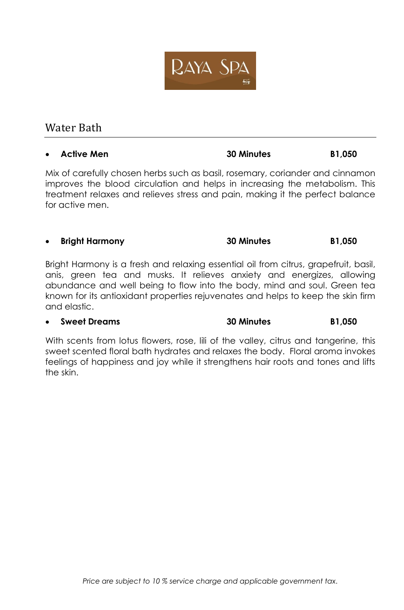

# Water Bath

## **Active Men 30 Minutes B1,050**

Mix of carefully chosen herbs such as basil, rosemary, coriander and cinnamon improves the blood circulation and helps in increasing the metabolism. This treatment relaxes and relieves stress and pain, making it the perfect balance for active men.

## **Bright Harmony 30 Minutes B1,050**

Bright Harmony is a fresh and relaxing essential oil from citrus, grapefruit, basil, anis, green tea and musks. It relieves anxiety and energizes, allowing abundance and well being to flow into the body, mind and soul. Green tea known for its antioxidant properties rejuvenates and helps to keep the skin firm and elastic.

## **Sweet Dreams 30 Minutes B1,050**

With scents from lotus flowers, rose, lili of the valley, citrus and tangerine, this sweet scented floral bath hydrates and relaxes the body. Floral aroma invokes feelings of happiness and joy while it strengthens hair roots and tones and lifts the skin.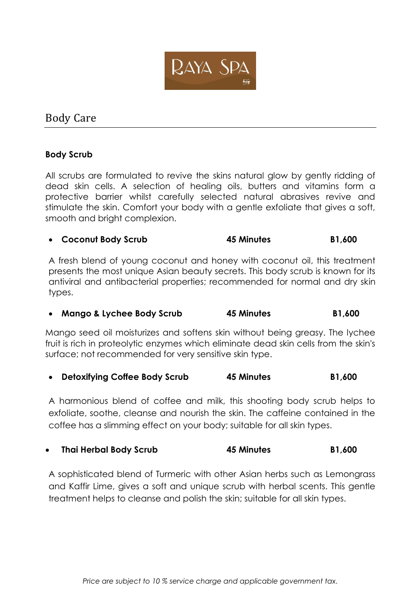

# Body Care

## **Body Scrub**

All scrubs are formulated to revive the skins natural glow by gently ridding of dead skin cells. A selection of healing oils, butters and vitamins form a protective barrier whilst carefully selected natural abrasives revive and stimulate the skin. Comfort your body with a gentle exfoliate that gives a soft, smooth and bright complexion.

### **Coconut Body Scrub 45 Minutes B1,600**

A fresh blend of young coconut and honey with coconut oil, this treatment presents the most unique Asian beauty secrets. This body scrub is known for its antiviral and antibacterial properties; recommended for normal and dry skin types.

**Mango & Lychee Body Scrub 45 Minutes B1,600**

Mango seed oil moisturizes and softens skin without being greasy. The lychee fruit is rich in proteolytic enzymes which eliminate dead skin cells from the skin's surface; not recommended for very sensitive skin type.

**Detoxifying Coffee Body Scrub 45 Minutes B1,600**

A harmonious blend of coffee and milk, this shooting body scrub helps to exfoliate, soothe, cleanse and nourish the skin. The caffeine contained in the coffee has a slimming effect on your body; suitable for all skin types.

**Thai Herbal Body Scrub 45 Minutes B1,600**

A sophisticated blend of Turmeric with other Asian herbs such as Lemongrass and Kaffir Lime, gives a soft and unique scrub with herbal scents. This gentle treatment helps to cleanse and polish the skin; suitable for all skin types.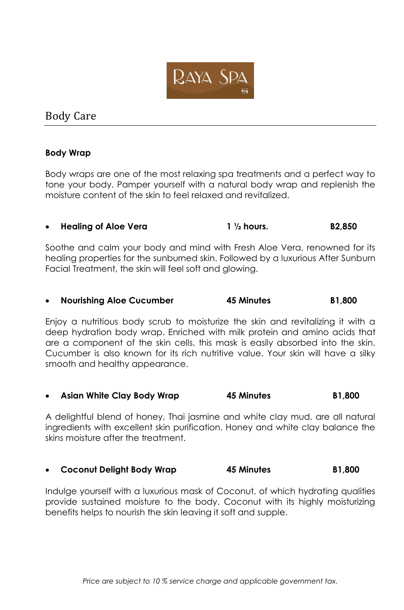

# Body Care

### **Body Wrap**

Body wraps are one of the most relaxing spa treatments and a perfect way to tone your body. Pamper yourself with a natural body wrap and replenish the moisture content of the skin to feel relaxed and revitalized.

## **Healing of Aloe Vera 1 ½ hours. B2,850**

Soothe and calm your body and mind with Fresh Aloe Vera, renowned for its healing properties for the sunburned skin. Followed by a luxurious After Sunburn Facial Treatment, the skin will feel soft and glowing.

#### **Nourishing Aloe Cucumber 45 Minutes B1,800**

Enjoy a nutritious body scrub to moisturize the skin and revitalizing it with a deep hydration body wrap. Enriched with milk protein and amino acids that are a component of the skin cells, this mask is easily absorbed into the skin. Cucumber is also known for its rich nutritive value. Your skin will have a silky smooth and healthy appearance.

**Asian White Clay Body Wrap 45 Minutes B1,800**

A delightful blend of honey, Thai jasmine and white clay mud, are all natural ingredients with excellent skin purification. Honey and white clay balance the skins moisture after the treatment.

### **Coconut Delight Body Wrap 45 Minutes B1,800**

Indulge yourself with a luxurious mask of Coconut, of which hydrating qualities provide sustained moisture to the body. Coconut with its highly moisturizing benefits helps to nourish the skin leaving it soft and supple.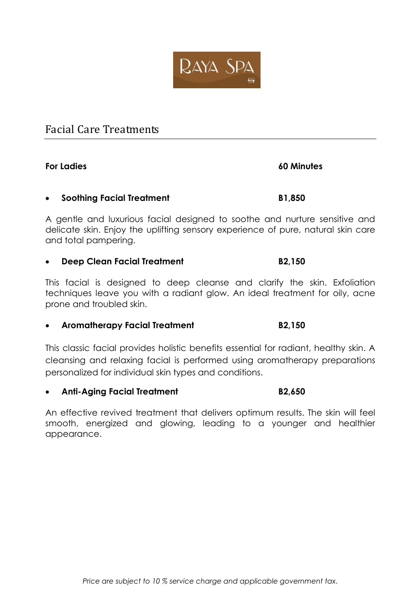

# Facial Care Treatments

## **For Ladies 60 Minutes**

### **Soothing Facial Treatment B1,850**

A gentle and luxurious facial designed to soothe and nurture sensitive and delicate skin. Enjoy the uplifting sensory experience of pure, natural skin care and total pampering.

### **Deep Clean Facial Treatment B2,150**

This facial is designed to deep cleanse and clarify the skin. Exfoliation techniques leave you with a radiant glow. An ideal treatment for oily, acne prone and troubled skin.

### **Aromatherapy Facial Treatment B2,150**

This classic facial provides holistic benefits essential for radiant, healthy skin. A cleansing and relaxing facial is performed using aromatherapy preparations personalized for individual skin types and conditions.

**Anti-Aging Facial Treatment B2,650**

An effective revived treatment that delivers optimum results. The skin will feel smooth, energized and glowing, leading to a younger and healthier appearance.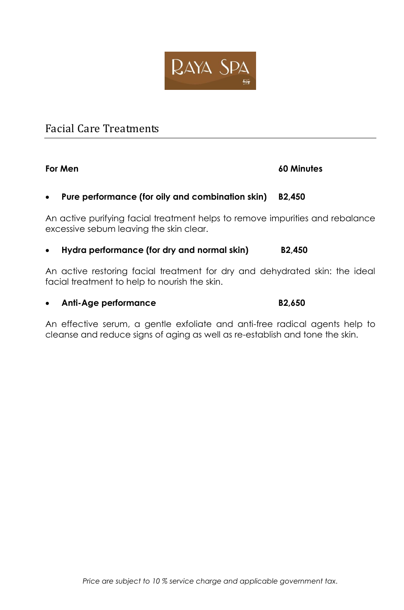

# Facial Care Treatments

### **For Men 60 Minutes**

### **Pure performance (for oily and combination skin) B2,450**

An active purifying facial treatment helps to remove impurities and rebalance excessive sebum leaving the skin clear.

### **Hydra performance (for dry and normal skin) B2,450**

An active restoring facial treatment for dry and dehydrated skin: the ideal facial treatment to help to nourish the skin.

**Anti-Age performance B2,650**

An effective serum, a gentle exfoliate and anti-free radical agents help to cleanse and reduce signs of aging as well as re-establish and tone the skin.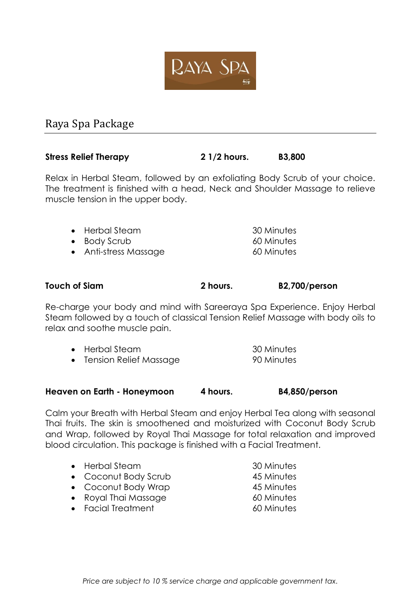

# Raya Spa Package

### **Stress Relief Therapy 2 1/2 hours. B3,800**

Relax in Herbal Steam, followed by an exfoliating Body Scrub of your choice. The treatment is finished with a head, Neck and Shoulder Massage to relieve muscle tension in the upper body.

| • Herbal Steam                                                                  | 30 Minutes                       |
|---------------------------------------------------------------------------------|----------------------------------|
| $\bullet$ Body Scrub                                                            | 60 Minutes                       |
| $\lambda$ is $\lambda$ expressed $\lambda$ and $\lambda$ expressed in $\lambda$ | $\sqrt{2}$ $\sqrt{2}$ $\sqrt{2}$ |

• Anti-stress Massage 60 Minutes

#### **Touch of Siam 2 hours. B2,700/person**

Re-charge your body and mind with Sareeraya Spa Experience. Enjoy Herbal Steam followed by a touch of classical Tension Relief Massage with body oils to relax and soothe muscle pain.

| $\bullet$ Herbal Steam | 30 Minutes |
|------------------------|------------|
| Tension Relief Massage | 90 Minutes |

#### **Heaven on Earth - Honeymoon 4 hours. B4,850/person**

Calm your Breath with Herbal Steam and enjoy Herbal Tea along with seasonal Thai fruits. The skin is smoothened and moisturized with Coconut Body Scrub and Wrap, followed by Royal Thai Massage for total relaxation and improved blood circulation. This package is finished with a Facial Treatment.

| $\bullet$ Herbal Steam       | 30 Minutes |
|------------------------------|------------|
| • Coconut Body Scrub         | 45 Minutes |
| • Coconut Body Wrap          | 45 Minutes |
| $\bullet$ Royal Thai Massage | 60 Minutes |
| • Facial Treatment           | 60 Minutes |
|                              |            |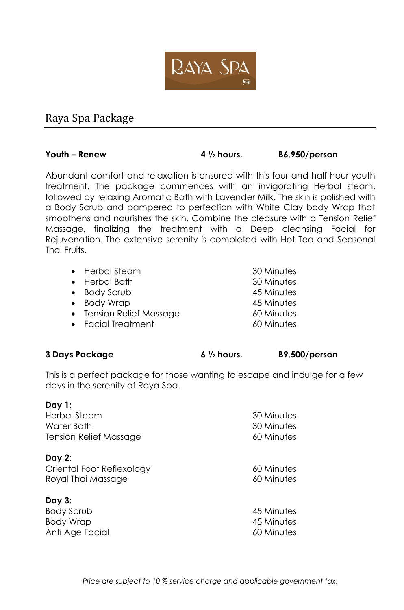

# Raya Spa Package

**Youth – Renew 4 ½ hours. B6,950/person**

Abundant comfort and relaxation is ensured with this four and half hour youth treatment. The package commences with an invigorating Herbal steam, followed by relaxing Aromatic Bath with Lavender Milk. The skin is polished with a Body Scrub and pampered to perfection with White Clay body Wrap that smoothens and nourishes the skin. Combine the pleasure with a Tension Relief Massage, finalizing the treatment with a Deep cleansing Facial for Rejuvenation. The extensive serenity is completed with Hot Tea and Seasonal Thai Fruits.

| • Herbal Steam           | 30 Minutes |
|--------------------------|------------|
| • Herbal Bath            | 30 Minutes |
| • Body Scrub             | 45 Minutes |
| • Body Wrap              | 45 Minutes |
| • Tension Relief Massage | 60 Minutes |
| • Facial Treatment       | 60 Minutes |
|                          |            |

#### **3 Days Package 6 ½ hours. B9,500/person**

This is a perfect package for those wanting to escape and indulge for a few days in the serenity of Raya Spa.

| Day 1:                        |            |
|-------------------------------|------------|
| <b>Herbal Steam</b>           | 30 Minutes |
| Water Bath                    | 30 Minutes |
| <b>Tension Relief Massage</b> | 60 Minutes |
| Day 2:                        |            |
| Oriental Foot Reflexology     | 60 Minutes |
| Royal Thai Massage            | 60 Minutes |
| Day 3:                        |            |

| Body Scrub      | 45 Minutes |
|-----------------|------------|
| Body Wrap       | 45 Minutes |
| Anti Age Facial | 60 Minutes |